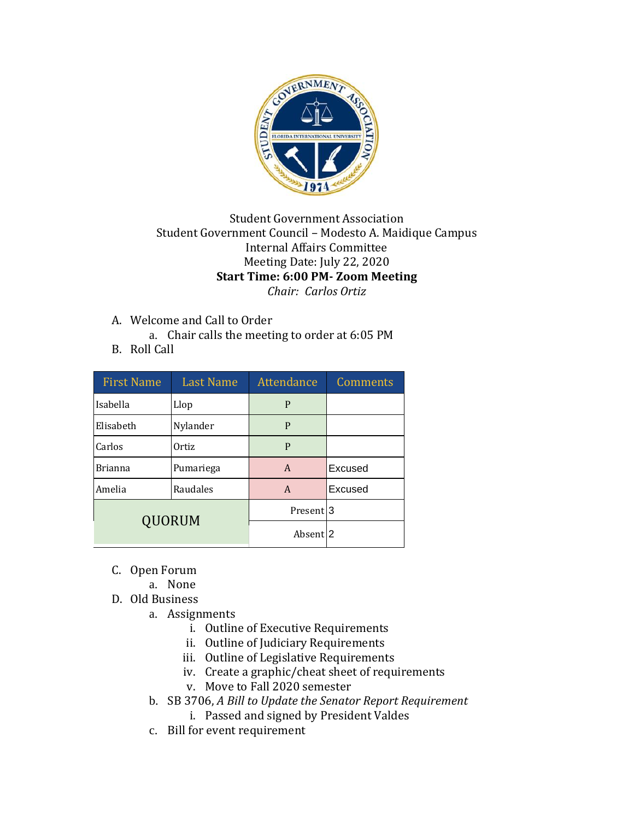

## Student Government Association Student Government Council – Modesto A. Maidique Campus Internal Affairs Committee Meeting Date: July 22, 2020 **Start Time: 6:00 PM- Zoom Meeting** *Chair: Carlos Ortiz*

- A. Welcome and Call to Order
	- a. Chair calls the meeting to order at 6:05 PM
- B. Roll Call

| <b>First Name</b> | <b>Last Name</b> | Attendance            | Comments |
|-------------------|------------------|-----------------------|----------|
| Isabella          | Llop             | P                     |          |
| Elisabeth         | Nylander         | P                     |          |
| Carlos            | 0rtiz            | P                     |          |
| <b>Brianna</b>    | Pumariega        | A                     | Excused  |
| Amelia            | Raudales         | A                     | Excused  |
| QUORUM            |                  | Present <sub>13</sub> |          |
|                   |                  | Absent <sup>1</sup> 2 |          |

- C. Open Forum
	- a. None
- D. Old Business
	- a. Assignments
		- i. Outline of Executive Requirements
		- ii. Outline of Judiciary Requirements
		- iii. Outline of Legislative Requirements
		- iv. Create a graphic/cheat sheet of requirements
		- v. Move to Fall 2020 semester
	- b. SB 3706, *A Bill to Update the Senator Report Requirement* 
		- i. Passed and signed by President Valdes
	- c. Bill for event requirement